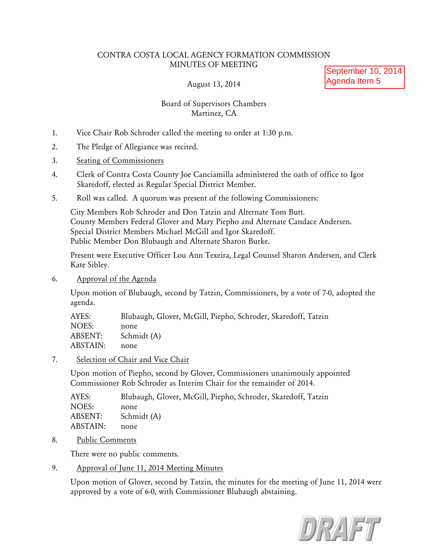## CONTRA COSTA LOCAL AGENCY FORMATION COMMISSION MINUTES OF MEETING

## August 13, 2014

September 10, 2014 Agenda Item 5

# Board of Supervisors Chambers Martinez, CA

- 1. Vice Chair Rob Schroder called the meeting to order at 1:30 p.m.
- 2. The Pledge of Allegiance was recited.
- 3. Seating of Commissioners
- 4. Clerk of Contra Costa County Joe Canciamilla administered the oath of office to Igor Skaredoff, elected as Regular Special District Member.
- 5. Roll was called. A quorum was present of the following Commissioners:

City Members Rob Schroder and Don Tatzin and Alternate Tom Butt. County Members Federal Glover and Mary Piepho and Alternate Candace Andersen. Special District Members Michael McGill and Igor Skaredoff. Public Member Don Blubaugh and Alternate Sharon Burke.

Present were Executive Officer Lou Ann Texeira, Legal Counsel Sharon Andersen, and Clerk Kate Sibley.

6. Approval of the Agenda

Upon motion of Blubaugh, second by Tatzin, Commissioners, by a vote of 7-0, adopted the agenda.

| AYES:    | Blubaugh, Glover, McGill, Piepho, Schroder, Skaredoff, Tatzin |
|----------|---------------------------------------------------------------|
| NOES:    | none                                                          |
| ABSENT:  | Schmidt (A)                                                   |
| ABSTAIN: | none                                                          |

7. Selection of Chair and Vice Chair

Upon motion of Piepho, second by Glover, Commissioners unanimously appointed Commissioner Rob Schroder as Interim Chair for the remainder of 2014.

| AYES:    | Blubaugh, Glover, McGill, Piepho, Schroder, Skaredoff, Tatzin |
|----------|---------------------------------------------------------------|
| NOES:    | none                                                          |
| ABSENT:  | Schmidt (A)                                                   |
| ABSTAIN: | none                                                          |
|          |                                                               |

8. Public Comments

There were no public comments.

9. Approval of June 11, 2014 Meeting Minutes

Upon motion of Glover, second by Tatzin, the minutes for the meeting of June 11, 2014 were approved by a vote of 6-0, with Commissioner Blubaugh abstaining.

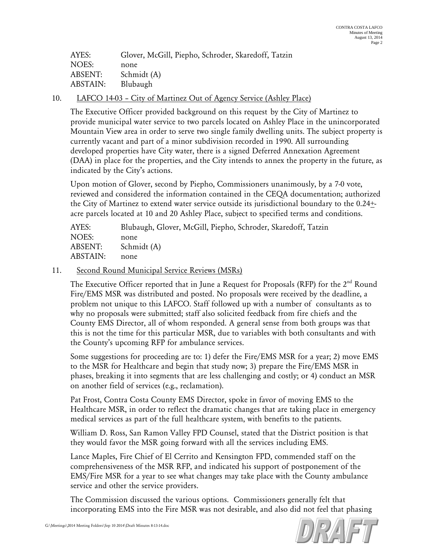| AYES:           | Glover, McGill, Piepho, Schroder, Skaredoff, Tatzin |
|-----------------|-----------------------------------------------------|
| NOES:           | none                                                |
| <b>ABSENT:</b>  | Schmidt (A)                                         |
| <b>ABSTAIN:</b> | Blubaugh                                            |

### 10. LAFCO 14-03 – City of Martinez Out of Agency Service (Ashley Place)

The Executive Officer provided background on this request by the City of Martinez to provide municipal water service to two parcels located on Ashley Place in the unincorporated Mountain View area in order to serve two single family dwelling units. The subject property is currently vacant and part of a minor subdivision recorded in 1990. All surrounding developed properties have City water, there is a signed Deferred Annexation Agreement (DAA) in place for the properties, and the City intends to annex the property in the future, as indicated by the City's actions.

Upon motion of Glover, second by Piepho, Commissioners unanimously, by a 7-0 vote, reviewed and considered the information contained in the CEQA documentation; authorized the City of Martinez to extend water service outside its jurisdictional boundary to the  $0.24 \pm$ acre parcels located at 10 and 20 Ashley Place, subject to specified terms and conditions.

| AYES:    | Blubaugh, Glover, McGill, Piepho, Schroder, Skaredoff, Tatzin |
|----------|---------------------------------------------------------------|
| NOES:    | none                                                          |
| ABSENT:  | Schmidt (A)                                                   |
| ABSTAIN: | none                                                          |

#### 11. Second Round Municipal Service Reviews (MSRs)

The Executive Officer reported that in June a Request for Proposals (RFP) for the 2<sup>nd</sup> Round Fire/EMS MSR was distributed and posted. No proposals were received by the deadline, a problem not unique to this LAFCO. Staff followed up with a number of consultants as to why no proposals were submitted; staff also solicited feedback from fire chiefs and the County EMS Director, all of whom responded. A general sense from both groups was that this is not the time for this particular MSR, due to variables with both consultants and with the County's upcoming RFP for ambulance services.

Some suggestions for proceeding are to: 1) defer the Fire/EMS MSR for a year; 2) move EMS to the MSR for Healthcare and begin that study now; 3) prepare the Fire/EMS MSR in phases, breaking it into segments that are less challenging and costly; or 4) conduct an MSR on another field of services (e.g., reclamation).

Pat Frost, Contra Costa County EMS Director, spoke in favor of moving EMS to the Healthcare MSR, in order to reflect the dramatic changes that are taking place in emergency medical services as part of the full healthcare system, with benefits to the patients.

William D. Ross, San Ramon Valley FPD Counsel, stated that the District position is that they would favor the MSR going forward with all the services including EMS.

Lance Maples, Fire Chief of El Cerrito and Kensington FPD, commended staff on the comprehensiveness of the MSR RFP, and indicated his support of postponement of the EMS/Fire MSR for a year to see what changes may take place with the County ambulance service and other the service providers.

The Commission discussed the various options. Commissioners generally felt that incorporating EMS into the Fire MSR was not desirable, and also did not feel that phasing

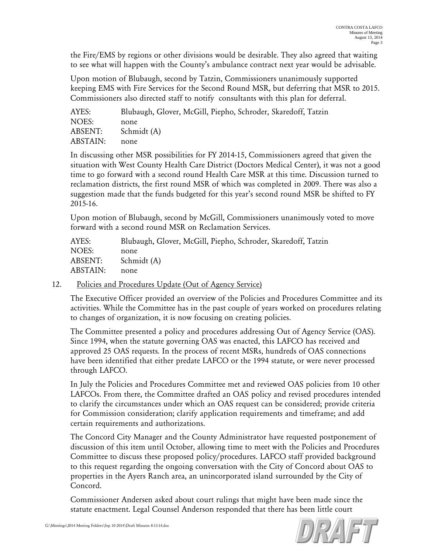the Fire/EMS by regions or other divisions would be desirable. They also agreed that waiting to see what will happen with the County's ambulance contract next year would be advisable.

Upon motion of Blubaugh, second by Tatzin, Commissioners unanimously supported keeping EMS with Fire Services for the Second Round MSR, but deferring that MSR to 2015. Commissioners also directed staff to notify consultants with this plan for deferral.

| Blubaugh, Glover, McGill, Piepho, Schroder, Skaredoff, Tatzin |
|---------------------------------------------------------------|
| none                                                          |
| Schmidt (A)                                                   |
| none                                                          |
|                                                               |

In discussing other MSR possibilities for FY 2014-15, Commissioners agreed that given the situation with West County Health Care District (Doctors Medical Center), it was not a good time to go forward with a second round Health Care MSR at this time. Discussion turned to reclamation districts, the first round MSR of which was completed in 2009. There was also a suggestion made that the funds budgeted for this year's second round MSR be shifted to FY 2015-16.

Upon motion of Blubaugh, second by McGill, Commissioners unanimously voted to move forward with a second round MSR on Reclamation Services.

AYES: Blubaugh, Glover, McGill, Piepho, Schroder, Skaredoff, Tatzin NOES: none ABSENT: Schmidt (A) ABSTAIN: none

## 12. Policies and Procedures Update (Out of Agency Service)

The Executive Officer provided an overview of the Policies and Procedures Committee and its activities. While the Committee has in the past couple of years worked on procedures relating to changes of organization, it is now focusing on creating policies.

The Committee presented a policy and procedures addressing Out of Agency Service (OAS). Since 1994, when the statute governing OAS was enacted, this LAFCO has received and approved 25 OAS requests. In the process of recent MSRs, hundreds of OAS connections have been identified that either predate LAFCO or the 1994 statute, or were never processed through LAFCO.

In July the Policies and Procedures Committee met and reviewed OAS policies from 10 other LAFCOs. From there, the Committee drafted an OAS policy and revised procedures intended to clarify the circumstances under which an OAS request can be considered; provide criteria for Commission consideration; clarify application requirements and timeframe; and add certain requirements and authorizations.

The Concord City Manager and the County Administrator have requested postponement of discussion of this item until October, allowing time to meet with the Policies and Procedures Committee to discuss these proposed policy/procedures. LAFCO staff provided background to this request regarding the ongoing conversation with the City of Concord about OAS to properties in the Ayers Ranch area, an unincorporated island surrounded by the City of Concord.

Commissioner Andersen asked about court rulings that might have been made since the statute enactment. Legal Counsel Anderson responded that there has been little court

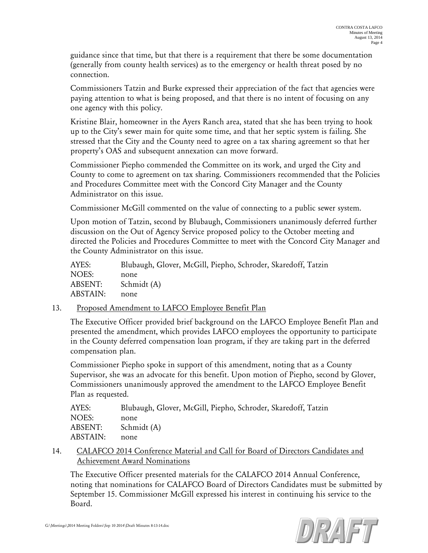guidance since that time, but that there is a requirement that there be some documentation (generally from county health services) as to the emergency or health threat posed by no connection.

Commissioners Tatzin and Burke expressed their appreciation of the fact that agencies were paying attention to what is being proposed, and that there is no intent of focusing on any one agency with this policy.

Kristine Blair, homeowner in the Ayers Ranch area, stated that she has been trying to hook up to the City's sewer main for quite some time, and that her septic system is failing. She stressed that the City and the County need to agree on a tax sharing agreement so that her property's OAS and subsequent annexation can move forward.

Commissioner Piepho commended the Committee on its work, and urged the City and County to come to agreement on tax sharing. Commissioners recommended that the Policies and Procedures Committee meet with the Concord City Manager and the County Administrator on this issue.

Commissioner McGill commented on the value of connecting to a public sewer system.

Upon motion of Tatzin, second by Blubaugh, Commissioners unanimously deferred further discussion on the Out of Agency Service proposed policy to the October meeting and directed the Policies and Procedures Committee to meet with the Concord City Manager and the County Administrator on this issue.

| AYES:    | Blubaugh, Glover, McGill, Piepho, Schroder, Skaredoff, Tatzin |
|----------|---------------------------------------------------------------|
| NOES:    | none                                                          |
| ABSENT:  | Schmidt (A)                                                   |
| ABSTAIN: | none                                                          |

## 13. Proposed Amendment to LAFCO Employee Benefit Plan

The Executive Officer provided brief background on the LAFCO Employee Benefit Plan and presented the amendment, which provides LAFCO employees the opportunity to participate in the County deferred compensation loan program, if they are taking part in the deferred compensation plan.

Commissioner Piepho spoke in support of this amendment, noting that as a County Supervisor, she was an advocate for this benefit. Upon motion of Piepho, second by Glover, Commissioners unanimously approved the amendment to the LAFCO Employee Benefit Plan as requested.

| Blubaugh, Glover, McGill, Piepho, Schroder, Skaredoff, Tatzin |
|---------------------------------------------------------------|
| none                                                          |
| Schmidt (A)                                                   |
| none                                                          |
|                                                               |

14. CALAFCO 2014 Conference Material and Call for Board of Directors Candidates and Achievement Award Nominations

The Executive Officer presented materials for the CALAFCO 2014 Annual Conference, noting that nominations for CALAFCO Board of Directors Candidates must be submitted by September 15. Commissioner McGill expressed his interest in continuing his service to the Board.